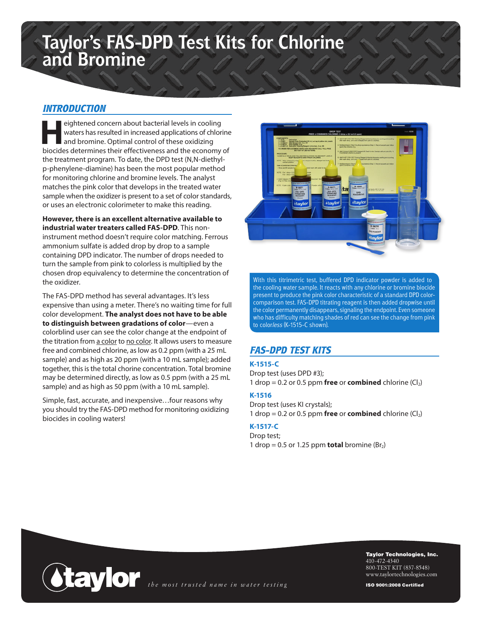# **Taylor's FAS-DPD Test Kits for Chlorine and Bromine**

## *INTRODUCTION*

eightened concern about bacterial levels in cooling waters has resulted in increased applications of chlorine and bromine. Optimal control of these oxidizing biocides determines their effectiveness and the economy of the treatment program. To date, the DPD test (N,N-diethylp-phenylene-diamine) has been the most popular method for monitoring chlorine and bromine levels. The analyst matches the pink color that develops in the treated water sample when the oxidizer is present to a set of color standards, or uses an electronic colorimeter to make this reading.

**However, there is an excellent alternative available to industrial water treaters called FAS-DPD**. This noninstrument method doesn't require color matching. Ferrous ammonium sulfate is added drop by drop to a sample containing DPD indicator. The number of drops needed to turn the sample from pink to colorless is multiplied by the chosen drop equivalency to determine the concentration of the oxidizer.

The FAS-DPD method has several advantages. It's less expensive than using a meter. There's no waiting time for full color development. **The analyst does not have to be able to distinguish between gradations of color**—even a colorblind user can see the color change at the endpoint of the titration from a color to no color. It allows users to measure free and combined chlorine, as low as 0.2 ppm (with a 25 mL sample) and as high as 20 ppm (with a 10 mL sample); added together, this is the total chorine concentration. Total bromine may be determined directly, as low as 0.5 ppm (with a 25 mL sample) and as high as 50 ppm (with a 10 mL sample).

Simple, fast, accurate, and inexpensive…four reasons why you should try the FAS-DPD method for monitoring oxidizing biocides in cooling waters!



With this titrimetric test, buffered DPD indicator powder is added to the cooling water sample. It reacts with any chlorine or bromine biocide present to produce the pink color characteristic of a standard DPD colorcomparison test. FAS-DPD titrating reagent is then added dropwise until the color permanently disappears, signaling the endpoint. Even someone who has difficulty matching shades of red can see the change from pink to color*less* (K-1515-C shown).

## *FAS-DPD TEST KITS*

#### **K-1515-C**

Drop test (uses DPD #3); 1 drop =  $0.2$  or  $0.5$  ppm **free** or **combined** chlorine  $(Cl<sub>2</sub>)$ 

#### **K-1516**

Drop test (uses KI crystals); 1 drop =  $0.2$  or  $0.5$  ppm **free** or **combined** chlorine  $(Cl_2)$ 

### **K-1517-C**

Drop test; 1 drop =  $0.5$  or 1.25 ppm **total** bromine (Br<sub>2</sub>)



Taylor Technologies, Inc. 410-472-4340 800-TEST KIT (837-8548) www.taylortechnologies.com

ISO 9001:2008 Certified